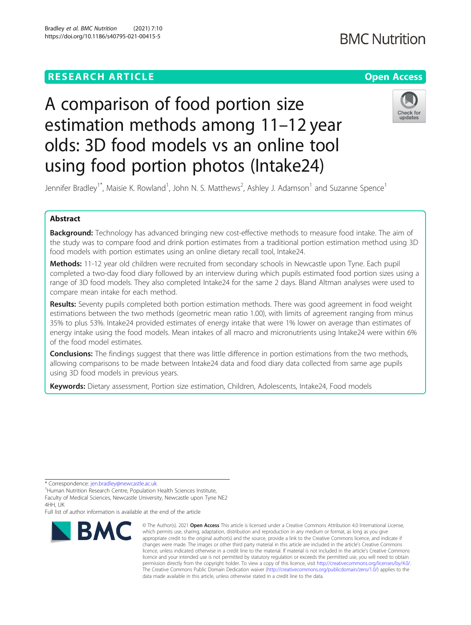# **RESEARCH ARTICLE Example 2014 12:30 The Contract of Contract ACCESS**

# **BMC Nutrition**

# A comparison of food portion size estimation methods among 11–12 year olds: 3D food models vs an online tool using food portion photos (Intake24)



Jennifer Bradley<sup>1\*</sup>, Maisie K. Rowland<sup>1</sup>, John N. S. Matthews<sup>2</sup>, Ashley J. Adamson<sup>1</sup> and Suzanne Spence<sup>1</sup>

### Abstract

Background: Technology has advanced bringing new cost-effective methods to measure food intake. The aim of the study was to compare food and drink portion estimates from a traditional portion estimation method using 3D food models with portion estimates using an online dietary recall tool, Intake24.

Methods: 11-12 year old children were recruited from secondary schools in Newcastle upon Tyne. Each pupil completed a two-day food diary followed by an interview during which pupils estimated food portion sizes using a range of 3D food models. They also completed Intake24 for the same 2 days. Bland Altman analyses were used to compare mean intake for each method.

Results: Seventy pupils completed both portion estimation methods. There was good agreement in food weight estimations between the two methods (geometric mean ratio 1.00), with limits of agreement ranging from minus 35% to plus 53%. Intake24 provided estimates of energy intake that were 1% lower on average than estimates of energy intake using the food models. Mean intakes of all macro and micronutrients using Intake24 were within 6% of the food model estimates.

**Conclusions:** The findings suggest that there was little difference in portion estimations from the two methods, allowing comparisons to be made between Intake24 data and food diary data collected from same age pupils using 3D food models in previous years.

Keywords: Dietary assessment, Portion size estimation, Children, Adolescents, Intake24, Food models

Full list of author information is available at the end of the article



<sup>©</sup> The Author(s), 2021 **Open Access** This article is licensed under a Creative Commons Attribution 4.0 International License, which permits use, sharing, adaptation, distribution and reproduction in any medium or format, as long as you give appropriate credit to the original author(s) and the source, provide a link to the Creative Commons licence, and indicate if changes were made. The images or other third party material in this article are included in the article's Creative Commons licence, unless indicated otherwise in a credit line to the material. If material is not included in the article's Creative Commons licence and your intended use is not permitted by statutory regulation or exceeds the permitted use, you will need to obtain permission directly from the copyright holder. To view a copy of this licence, visit [http://creativecommons.org/licenses/by/4.0/.](http://creativecommons.org/licenses/by/4.0/) The Creative Commons Public Domain Dedication waiver [\(http://creativecommons.org/publicdomain/zero/1.0/](http://creativecommons.org/publicdomain/zero/1.0/)) applies to the data made available in this article, unless otherwise stated in a credit line to the data.

<sup>\*</sup> Correspondence: [jen.bradley@newcastle.ac.uk](mailto:jen.bradley@newcastle.ac.uk) <sup>1</sup>

<sup>&</sup>lt;sup>1</sup>Human Nutrition Research Centre, Population Health Sciences Institute, Faculty of Medical Sciences, Newcastle University, Newcastle upon Tyne NE2 4HH UK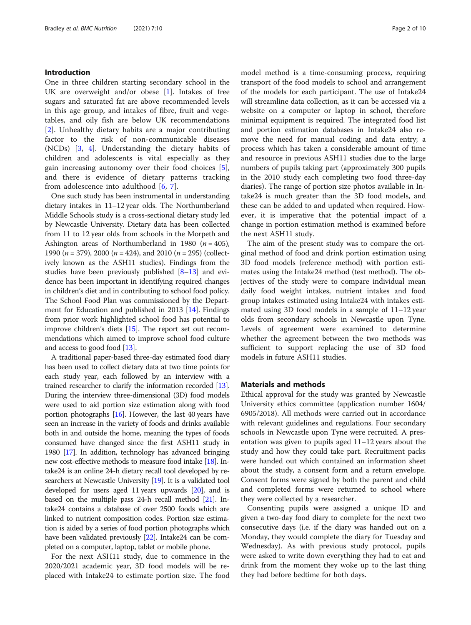#### Introduction

One in three children starting secondary school in the UK are overweight and/or obese  $[1]$  $[1]$ . Intakes of free sugars and saturated fat are above recommended levels in this age group, and intakes of fibre, fruit and vegetables, and oily fish are below UK recommendations [[2\]](#page-8-0). Unhealthy dietary habits are a major contributing factor to the risk of non-communicable diseases (NCDs) [\[3](#page-8-0), [4\]](#page-8-0). Understanding the dietary habits of children and adolescents is vital especially as they gain increasing autonomy over their food choices [\[5](#page-8-0)], and there is evidence of dietary patterns tracking from adolescence into adulthood [\[6](#page-8-0), [7](#page-8-0)].

One such study has been instrumental in understanding dietary intakes in 11–12 year olds. The Northumberland Middle Schools study is a cross-sectional dietary study led by Newcastle University. Dietary data has been collected from 11 to 12 year olds from schools in the Morpeth and Ashington areas of Northumberland in 1980 ( $n = 405$ ), 1990 ( $n = 379$ ), 2000 ( $n = 424$ ), and 2010 ( $n = 295$ ) (collectively known as the ASH11 studies). Findings from the studies have been previously published [\[8](#page-8-0)–[13](#page-8-0)] and evidence has been important in identifying required changes in children's diet and in contributing to school food policy. The School Food Plan was commissioned by the Department for Education and published in 2013 [\[14\]](#page-8-0). Findings from prior work highlighted school food has potential to improve children's diets [[15](#page-8-0)]. The report set out recommendations which aimed to improve school food culture and access to good food [\[13\]](#page-8-0).

A traditional paper-based three-day estimated food diary has been used to collect dietary data at two time points for each study year, each followed by an interview with a trained researcher to clarify the information recorded [\[13](#page-8-0)]. During the interview three-dimensional (3D) food models were used to aid portion size estimation along with food portion photographs [\[16\]](#page-8-0). However, the last 40 years have seen an increase in the variety of foods and drinks available both in and outside the home, meaning the types of foods consumed have changed since the first ASH11 study in 1980 [\[17](#page-8-0)]. In addition, technology has advanced bringing new cost-effective methods to measure food intake [[18\]](#page-8-0). Intake24 is an online 24-h dietary recall tool developed by researchers at Newcastle University [[19](#page-8-0)]. It is a validated tool developed for users aged 11 years upwards [[20](#page-8-0)], and is based on the multiple pass 24-h recall method [[21](#page-8-0)]. Intake24 contains a database of over 2500 foods which are linked to nutrient composition codes. Portion size estimation is aided by a series of food portion photographs which have been validated previously [[22](#page-8-0)]. Intake24 can be completed on a computer, laptop, tablet or mobile phone.

For the next ASH11 study, due to commence in the 2020/2021 academic year, 3D food models will be replaced with Intake24 to estimate portion size. The food model method is a time-consuming process, requiring transport of the food models to school and arrangement of the models for each participant. The use of Intake24 will streamline data collection, as it can be accessed via a website on a computer or laptop in school, therefore minimal equipment is required. The integrated food list and portion estimation databases in Intake24 also remove the need for manual coding and data entry; a process which has taken a considerable amount of time and resource in previous ASH11 studies due to the large numbers of pupils taking part (approximately 300 pupils in the 2010 study each completing two food three-day diaries). The range of portion size photos available in Intake24 is much greater than the 3D food models, and these can be added to and updated when required. However, it is imperative that the potential impact of a change in portion estimation method is examined before the next ASH11 study.

The aim of the present study was to compare the original method of food and drink portion estimation using 3D food models (reference method) with portion estimates using the Intake24 method (test method). The objectives of the study were to compare individual mean daily food weight intakes, nutrient intakes and food group intakes estimated using Intake24 with intakes estimated using 3D food models in a sample of 11–12 year olds from secondary schools in Newcastle upon Tyne. Levels of agreement were examined to determine whether the agreement between the two methods was sufficient to support replacing the use of 3D food models in future ASH11 studies.

#### Materials and methods

Ethical approval for the study was granted by Newcastle University ethics committee (application number 1604/ 6905/2018). All methods were carried out in accordance with relevant guidelines and regulations. Four secondary schools in Newcastle upon Tyne were recruited. A presentation was given to pupils aged 11–12 years about the study and how they could take part. Recruitment packs were handed out which contained an information sheet about the study, a consent form and a return envelope. Consent forms were signed by both the parent and child and completed forms were returned to school where they were collected by a researcher.

Consenting pupils were assigned a unique ID and given a two-day food diary to complete for the next two consecutive days (i.e. if the diary was handed out on a Monday, they would complete the diary for Tuesday and Wednesday). As with previous study protocol, pupils were asked to write down everything they had to eat and drink from the moment they woke up to the last thing they had before bedtime for both days.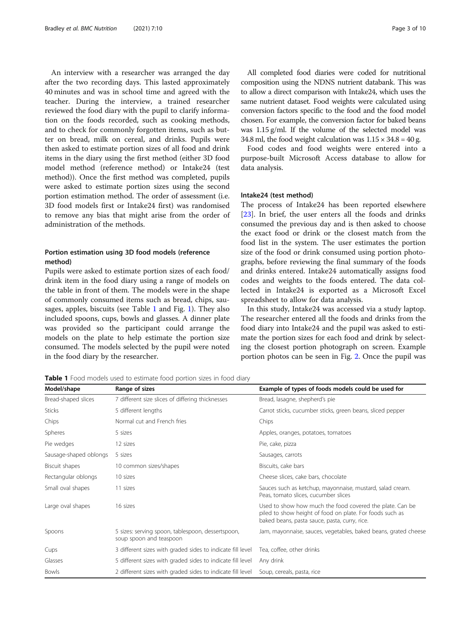An interview with a researcher was arranged the day after the two recording days. This lasted approximately 40 minutes and was in school time and agreed with the teacher. During the interview, a trained researcher reviewed the food diary with the pupil to clarify information on the foods recorded, such as cooking methods, and to check for commonly forgotten items, such as butter on bread, milk on cereal, and drinks. Pupils were then asked to estimate portion sizes of all food and drink items in the diary using the first method (either 3D food model method (reference method) or Intake24 (test method)). Once the first method was completed, pupils were asked to estimate portion sizes using the second portion estimation method. The order of assessment (i.e. 3D food models first or Intake24 first) was randomised to remove any bias that might arise from the order of administration of the methods.

### Portion estimation using 3D food models (reference method)

Pupils were asked to estimate portion sizes of each food/ drink item in the food diary using a range of models on the table in front of them. The models were in the shape of commonly consumed items such as bread, chips, sausages, apples, biscuits (see Table 1 and Fig. [1](#page-3-0)). They also included spoons, cups, bowls and glasses. A dinner plate was provided so the participant could arrange the models on the plate to help estimate the portion size consumed. The models selected by the pupil were noted in the food diary by the researcher.

All completed food diaries were coded for nutritional composition using the NDNS nutrient databank. This was to allow a direct comparison with Intake24, which uses the same nutrient dataset. Food weights were calculated using conversion factors specific to the food and the food model chosen. For example, the conversion factor for baked beans was 1.15 g/ml. If the volume of the selected model was 34.8 ml, the food weight calculation was  $1.15 \times 34.8 = 40$  g.

Food codes and food weights were entered into a purpose-built Microsoft Access database to allow for data analysis.

#### Intake24 (test method)

The process of Intake24 has been reported elsewhere [[23\]](#page-9-0). In brief, the user enters all the foods and drinks consumed the previous day and is then asked to choose the exact food or drink or the closest match from the food list in the system. The user estimates the portion size of the food or drink consumed using portion photographs, before reviewing the final summary of the foods and drinks entered. Intake24 automatically assigns food codes and weights to the foods entered. The data collected in Intake24 is exported as a Microsoft Excel spreadsheet to allow for data analysis.

In this study, Intake24 was accessed via a study laptop. The researcher entered all the foods and drinks from the food diary into Intake24 and the pupil was asked to estimate the portion sizes for each food and drink by selecting the closest portion photograph on screen. Example portion photos can be seen in Fig. [2](#page-3-0). Once the pupil was

Table 1 Food models used to estimate food portion sizes in food diary

| Model/shape            | Range of sizes                                                               | Example of types of foods models could be used for                                                                                                                    |
|------------------------|------------------------------------------------------------------------------|-----------------------------------------------------------------------------------------------------------------------------------------------------------------------|
| Bread-shaped slices    | 7 different size slices of differing thicknesses                             | Bread, lasagne, shepherd's pie                                                                                                                                        |
| <b>Sticks</b>          | 5 different lengths                                                          | Carrot sticks, cucumber sticks, green beans, sliced pepper                                                                                                            |
| Chips                  | Normal cut and French fries                                                  | Chips                                                                                                                                                                 |
| <b>Spheres</b>         | 5 sizes                                                                      | Apples, oranges, potatoes, tomatoes                                                                                                                                   |
| Pie wedges             | 12 sizes                                                                     | Pie, cake, pizza                                                                                                                                                      |
| Sausage-shaped oblongs | 5 sizes                                                                      | Sausages, carrots                                                                                                                                                     |
| Biscuit shapes         | 10 common sizes/shapes                                                       | Biscuits, cake bars                                                                                                                                                   |
| Rectangular oblongs    | 10 sizes                                                                     | Cheese slices, cake bars, chocolate                                                                                                                                   |
| Small oval shapes      | 11 sizes                                                                     | Sauces such as ketchup, mayonnaise, mustard, salad cream.<br>Peas, tomato slices, cucumber slices                                                                     |
| Large oval shapes      | 16 sizes                                                                     | Used to show how much the food covered the plate. Can be<br>piled to show height of food on plate. For foods such as<br>baked beans, pasta sauce, pasta, curry, rice. |
| Spoons                 | 5 sizes: serving spoon, tablespoon, dessertspoon,<br>soup spoon and teaspoon | Jam, mayonnaise, sauces, vegetables, baked beans, grated cheese                                                                                                       |
| Cups                   | 3 different sizes with graded sides to indicate fill level                   | Tea, coffee, other drinks                                                                                                                                             |
| Glasses                | 5 different sizes with graded sides to indicate fill level                   | Any drink                                                                                                                                                             |
| <b>Bowls</b>           | 2 different sizes with graded sides to indicate fill level                   | Soup, cereals, pasta, rice                                                                                                                                            |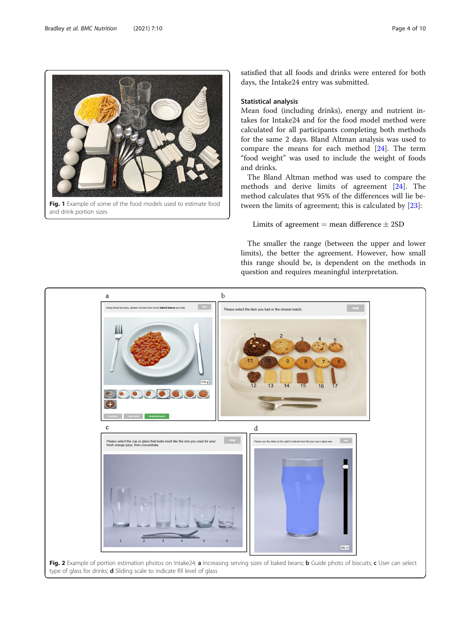<span id="page-3-0"></span>

satisfied that all foods and drinks were entered for both days, the Intake24 entry was submitted.

#### Statistical analysis

Mean food (including drinks), energy and nutrient intakes for Intake24 and for the food model method were calculated for all participants completing both methods for the same 2 days. Bland Altman analysis was used to compare the means for each method [[24\]](#page-9-0). The term "food weight" was used to include the weight of foods and drinks.

The Bland Altman method was used to compare the methods and derive limits of agreement [[24\]](#page-9-0). The method calculates that 95% of the differences will lie between the limits of agreement; this is calculated by [[23](#page-9-0)]:

## Limits of agreement  $=$  mean difference  $\pm$  2SD

The smaller the range (between the upper and lower limits), the better the agreement. However, how small this range should be, is dependent on the methods in question and requires meaningful interpretation.

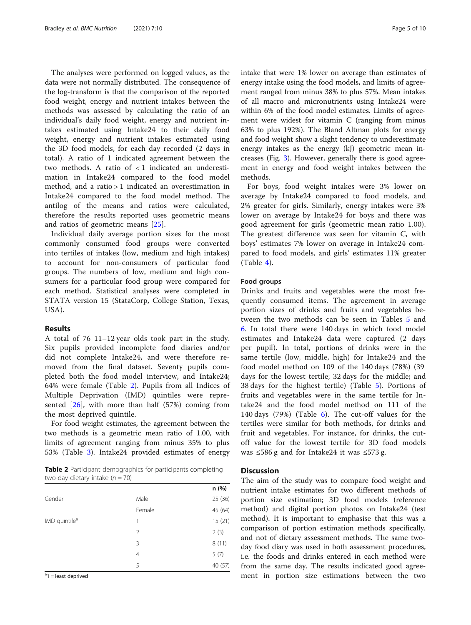The analyses were performed on logged values, as the data were not normally distributed. The consequence of the log-transform is that the comparison of the reported food weight, energy and nutrient intakes between the methods was assessed by calculating the ratio of an individual's daily food weight, energy and nutrient intakes estimated using Intake24 to their daily food weight, energy and nutrient intakes estimated using the 3D food models, for each day recorded (2 days in total). A ratio of 1 indicated agreement between the two methods. A ratio of < 1 indicated an underestimation in Intake24 compared to the food model method, and a ratio > 1 indicated an overestimation in Intake24 compared to the food model method. The antilog of the means and ratios were calculated, therefore the results reported uses geometric means and ratios of geometric means [\[25](#page-9-0)].

Individual daily average portion sizes for the most commonly consumed food groups were converted into tertiles of intakes (low, medium and high intakes) to account for non-consumers of particular food groups. The numbers of low, medium and high consumers for a particular food group were compared for each method. Statistical analyses were completed in STATA version 15 (StataCorp, College Station, Texas, USA).

#### Results

A total of 76 11–12 year olds took part in the study. Six pupils provided incomplete food diaries and/or did not complete Intake24, and were therefore removed from the final dataset. Seventy pupils completed both the food model interview, and Intake24; 64% were female (Table 2). Pupils from all Indices of Multiple Deprivation (IMD) quintiles were represented [[26\]](#page-9-0), with more than half (57%) coming from the most deprived quintile.

For food weight estimates, the agreement between the two methods is a geometric mean ratio of 1.00, with limits of agreement ranging from minus 35% to plus 53% (Table [3\)](#page-5-0). Intake24 provided estimates of energy

Table 2 Participant demographics for participants completing two-day dietary intake ( $n = 70$ )

|                           |        | n (%)   |
|---------------------------|--------|---------|
| Gender                    | Male   | 25 (36) |
|                           | Female | 45 (64) |
| IMD quintile <sup>a</sup> |        | 15(21)  |
|                           | 2      | 2(3)    |
|                           | 3      | 8(11)   |
|                           | 4      | 5(7)    |
|                           | 5      | 40 (57) |

<sup>a</sup>1 = least deprived

intake that were 1% lower on average than estimates of energy intake using the food models, and limits of agreement ranged from minus 38% to plus 57%. Mean intakes of all macro and micronutrients using Intake24 were within 6% of the food model estimates. Limits of agreement were widest for vitamin C (ranging from minus 63% to plus 192%). The Bland Altman plots for energy and food weight show a slight tendency to underestimate energy intakes as the energy (kJ) geometric mean increases (Fig. [3\)](#page-5-0). However, generally there is good agreement in energy and food weight intakes between the methods.

For boys, food weight intakes were 3% lower on average by Intake24 compared to food models, and 2% greater for girls. Similarly, energy intakes were 3% lower on average by Intake24 for boys and there was good agreement for girls (geometric mean ratio 1.00). The greatest difference was seen for vitamin C, with boys' estimates 7% lower on average in Intake24 compared to food models, and girls' estimates 11% greater (Table [4](#page-6-0)).

#### Food groups

Drinks and fruits and vegetables were the most frequently consumed items. The agreement in average portion sizes of drinks and fruits and vegetables between the two methods can be seen in Tables [5](#page-7-0) and [6.](#page-7-0) In total there were 140 days in which food model estimates and Intake24 data were captured (2 days per pupil). In total, portions of drinks were in the same tertile (low, middle, high) for Intake24 and the food model method on 109 of the 140 days (78%) (39 days for the lowest tertile; 32 days for the middle; and 38 days for the highest tertile) (Table [5\)](#page-7-0). Portions of fruits and vegetables were in the same tertile for Intake24 and the food model method on 111 of the 140 days (79%) (Table [6](#page-7-0)). The cut-off values for the tertiles were similar for both methods, for drinks and fruit and vegetables. For instance, for drinks, the cutoff value for the lowest tertile for 3D food models was ≤586 g and for Intake24 it was ≤573 g.

#### **Discussion**

The aim of the study was to compare food weight and nutrient intake estimates for two different methods of portion size estimation; 3D food models (reference method) and digital portion photos on Intake24 (test method). It is important to emphasise that this was a comparison of portion estimation methods specifically, and not of dietary assessment methods. The same twoday food diary was used in both assessment procedures, i.e. the foods and drinks entered in each method were from the same day. The results indicated good agreement in portion size estimations between the two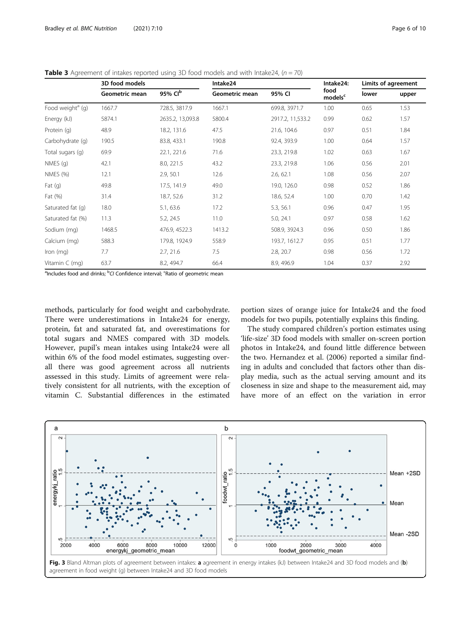|                              | 3D food models |                     | Intake24              | Intake24:        |                             |       | Limits of agreement |  |
|------------------------------|----------------|---------------------|-----------------------|------------------|-----------------------------|-------|---------------------|--|
|                              | Geometric mean | 95% Cl <sup>b</sup> | <b>Geometric mean</b> | 95% CI           | food<br>models <sup>c</sup> | lower | upper               |  |
| Food weight <sup>a</sup> (g) | 1667.7         | 728.5, 3817.9       | 1667.1                | 699.8, 3971.7    | 1.00                        | 0.65  | 1.53                |  |
| Energy (kJ)                  | 5874.1         | 2635.2, 13,093.8    | 5800.4                | 2917.2, 11,533.2 | 0.99                        | 0.62  | 1.57                |  |
| Protein (q)                  | 48.9           | 18.2, 131.6         | 47.5                  | 21.6, 104.6      | 0.97                        | 0.51  | 1.84                |  |
| Carbohydrate (q)             | 190.5          | 83.8, 433.1         | 190.8                 | 92.4, 393.9      | 1.00                        | 0.64  | 1.57                |  |
| Total sugars (g)             | 69.9           | 22.1, 221.6         | 71.6                  | 23.3, 219.8      | 1.02                        | 0.63  | 1.67                |  |
| NMES(q)                      | 42.1           | 8.0, 221.5          | 43.2                  | 23.3, 219.8      | 1.06                        | 0.56  | 2.01                |  |
| <b>NMES</b> (%)              | 12.1           | 2.9, 50.1           | 12.6                  | 2.6, 62.1        | 1.08                        | 0.56  | 2.07                |  |
| Fat $(q)$                    | 49.8           | 17.5, 141.9         | 49.0                  | 19.0, 126.0      | 0.98                        | 0.52  | 1.86                |  |
| Fat (%)                      | 31.4           | 18.7, 52.6          | 31.2                  | 18.6, 52.4       | 1.00                        | 0.70  | 1.42                |  |
| Saturated fat (q)            | 18.0           | 5.1, 63.6           | 17.2                  | 5.3, 56.1        | 0.96                        | 0.47  | 1.95                |  |
| Saturated fat (%)            | 11.3           | 5.2, 24.5           | 11.0                  | 5.0, 24.1        | 0.97                        | 0.58  | 1.62                |  |
| Sodium (mg)                  | 1468.5         | 476.9, 4522.3       | 1413.2                | 508.9, 3924.3    | 0.96                        | 0.50  | 1.86                |  |
| Calcium (mg)                 | 588.3          | 179.8, 1924.9       | 558.9                 | 193.7, 1612.7    | 0.95                        | 0.51  | 1.77                |  |
| Iron (mg)                    | 7.7            | 2.7, 21.6           | 7.5                   | 2.8, 20.7        | 0.98                        | 0.56  | 1.72                |  |
| Vitamin $C$ (mg)             | 63.7           | 8.2, 494.7          | 66.4                  | 8.9, 496.9       | 1.04                        | 0.37  | 2.92                |  |

<span id="page-5-0"></span>**Table 3** Agreement of intakes reported using 3D food models and with Intake24,  $(n = 70)$ 

<sup>a</sup>Includes food and drinks; <sup>b</sup>CI Confidence interval; <sup>c</sup>Ratio of geometric mean

methods, particularly for food weight and carbohydrate. There were underestimations in Intake24 for energy, protein, fat and saturated fat, and overestimations for total sugars and NMES compared with 3D models. However, pupil's mean intakes using Intake24 were all within 6% of the food model estimates, suggesting overall there was good agreement across all nutrients assessed in this study. Limits of agreement were relatively consistent for all nutrients, with the exception of vitamin C. Substantial differences in the estimated

portion sizes of orange juice for Intake24 and the food models for two pupils, potentially explains this finding.

The study compared children's portion estimates using 'life-size' 3D food models with smaller on-screen portion photos in Intake24, and found little difference between the two. Hernandez et al. (2006) reported a similar finding in adults and concluded that factors other than display media, such as the actual serving amount and its closeness in size and shape to the measurement aid, may have more of an effect on the variation in error

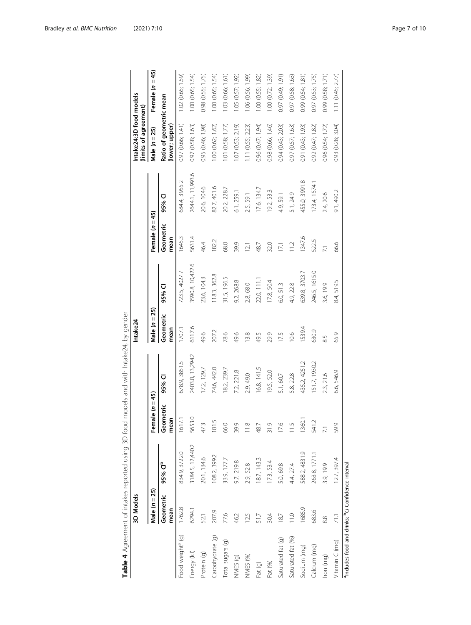<span id="page-6-0"></span>

| Food weight <sup>ª</sup> (g)<br>Energy (kJ) |                   |                     |                   |                   |                   |                  |                   |                  | Intake24:3D food models<br>(limits of agreement) |                   |
|---------------------------------------------|-------------------|---------------------|-------------------|-------------------|-------------------|------------------|-------------------|------------------|--------------------------------------------------|-------------------|
|                                             | Male $(n = 25)$   |                     | Female $(n = 45)$ |                   | Male $(n = 25)$   |                  | Female $(n = 45)$ |                  | Male $(n = 25)$                                  | Female $(n = 45)$ |
|                                             | Geometric<br>mean | 95% Cl <sup>b</sup> | Geometric<br>mean | 95% CI            | Geometric<br>mean | 95% CI           | Geometric<br>mean | 95% CI           | Ratio of geometric mean<br>(lower; upper)        |                   |
|                                             | 1762.8            | 834.9, 3722.0       | 1617.1            | 678.9, 3851.5     | 1707.1            | 723.5, 4027.7    | 1645.3            | 584.4, 3955.2    | 0.97 (0.66; 1.41)                                | 1.02 (0.65; 1.59) |
|                                             | 6294.1            | 3184.5, 12,440.2    | 5653.0            | 2403.8, 13, 294.2 | 6117.6            | 3590.8, 10,422.6 | 5631.4            | 2644.1, 11,993.6 | 0.97 (0.58; 1.63)                                | 1.00 (0.65; 1.54) |
| 52.1<br>Protein (g)                         |                   | 20.1, 134.6         | 47.3              | 17.2, 129.7       | 49.6              | 23.6, 104.3      | 46.4              | 20.6, 104.6      | 0.95 (0.46; 1.98)                                | 0.98 (0.55; 1.75) |
| Carbohydrate (g)                            | 207.9             | 108.2, 399.2        | 181.5             | 74.6, 442.0       | 207.2             | 118.3, 362.8     | 182.2             | 82.7, 401.6      | 1.00 (0.62; 1.62)                                | 1.00 (0.65; 1.54) |
| 77.6<br>Total sugars (g)                    |                   | 33.9, 177.7         | 66.0              | 8.2, 239.7        | 78.6              | 31.5, 196.5      | 68.0              | 20.2, 228.7      | 1.01 (0.58; 1.77)                                | 1.03 (0.66; 1.61) |
| 46.2<br>NMES (g)                            |                   | 9.7, 219.8          | 39.9              | 7.2, 221.8        | 49.6              | 9.2, 268.8       | 39.9              | 6.1, 259.1       | $1.07$ $(0.53; 2.19)$                            | 1.05 (0.57; 1.92) |
| 12.5<br>NMES (%)                            |                   | 2.9, 52.8           | 11.8              | 2.9, 49.0         | 13.8              | 2.8, 68.0        | $\overline{21}$   | 2.5, 59.1        | 1.11 (0.55; 2.23)                                | 1.06 (0.56; 1.99) |
| 51.7<br>Fat (g)                             |                   | 18.7, 143.3         | 48.7              | 16.8, 141.5       | 49.5              | 22.0, 111.1      | 48.7              | 17.6, 134.7      | 0.96 (0.47; 1.94)                                | 1.00(0.55; 1.82)  |
| 30.4<br>Fat (%)                             |                   | 17.3, 53.4          | 31.9              | 19.5, 52.0        | 29.9              | 17.8, 50.4       | 32.0              | 19.2, 53.3       | 0.98 (0.66; 1.46)                                | 1.00 (0.72; 1.39) |
| 187<br>Saturated fat (g)                    |                   | 5.0,69.8            | 17.6              | 5.1, 60.7         | 17.5              | 6.0, 51.3        | 17.1              | 4.9, 59.1        | 0.94 (0.43; 2.03)                                | 0.97 (0.49; 1.91) |
| Saturated fat (%)                           | $\frac{0}{10}$    | 4.4, 27.4           | 11.5              | 5.8, 22.8         | 10.6              | 4.9, 22.8        | 11.2              | 5.1, 24.9        | 0.97(0.57; 1.63)                                 | 0.97 (0.58; 1.63) |
| Sodium (mg)                                 | 1685.9            | 588.2, 4831.9       | 1360.1            | 435.2, 4251.2     | 1539.4            | 639.8, 3703.7    | 1347.6            | 455.0, 3991.8    | 0.91 (0.43; 1.93)                                | 0.99 (0.54; 1.81) |
| Calcium (mg)                                | 683.6             | 263.8, 1771.1       | 541.2             | 51.7, 1930.2      | 630.9             | 246.5, 1615.0    | 522.5             | 173.4, 1574.1    | 0.92(0.47; 1.82)                                 | 0.97 (0.53; 1.75) |
| 8.8<br>lron (mg)                            |                   | 3.9, 19.9           | $\overline{7.1}$  | 2.3, 21.6         | 8.5               | 3.6, 19.9        | $\overline{2}$    | 2.4, 20.6        | 0.96 (0.54; 1.72)                                | 0.99 (0.58; 1.71) |
| $\overline{711}$<br>Vitamin C (mq)          |                   | 12.7, 397.4         | 59.9              | 6.6, 546.9        | 65.9              | 8.4, 519.5       | 66.6              | 9.1, 490.2       | 0.93(0.28; 3.04)                                 | 1.11 (0.45; 2.77) |

| ċ<br>J                               |                          |
|--------------------------------------|--------------------------|
| ī<br>;<br>I                          |                          |
|                                      | י<br>י<br>ŋ              |
|                                      | $\overline{\phantom{a}}$ |
|                                      | Į                        |
|                                      |                          |
|                                      |                          |
|                                      |                          |
|                                      |                          |
|                                      |                          |
| $\frac{5}{1}$<br>5<br>$\overline{a}$ |                          |
| )<br>l                               |                          |
| ١                                    | )<br>5<br>)              |
| l                                    |                          |
| $\ddot{=}$<br>and the case of        |                          |
|                                      | 5                        |
|                                      |                          |
| l<br>١<br>i                          | 5                        |
|                                      |                          |
|                                      | רי<br>הוכו               |
|                                      |                          |
| )<br>J<br>i                          |                          |
|                                      |                          |
| j                                    |                          |
| $\frac{1}{2}$                        |                          |
|                                      |                          |
|                                      |                          |
|                                      |                          |
|                                      |                          |
|                                      |                          |
|                                      |                          |
|                                      | )<br>J                   |
|                                      |                          |
|                                      | j                        |
| j                                    |                          |
|                                      |                          |
| i                                    |                          |
| us<br>B<br>B<br>İ<br>l               |                          |
|                                      |                          |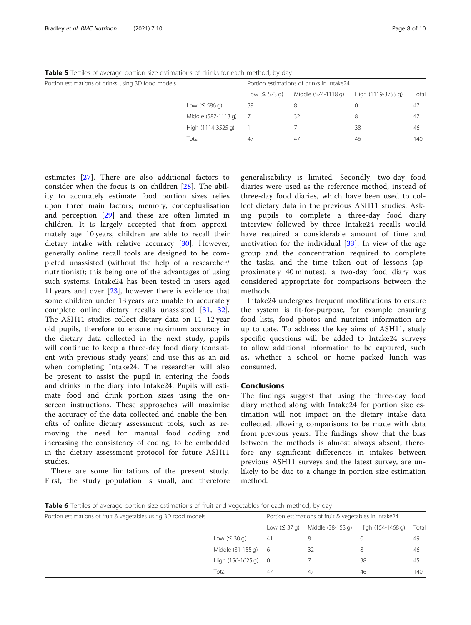| <b>Table J</b> Termes Of average portion size estimations or unities for each method, by day |                     |               |                                           |                    |       |
|----------------------------------------------------------------------------------------------|---------------------|---------------|-------------------------------------------|--------------------|-------|
| Portion estimations of drinks using 3D food models                                           |                     |               | Portion estimations of drinks in Intake24 |                    |       |
|                                                                                              |                     | Low $(5573q)$ | Middle (574-1118 g)                       | High (1119-3755 g) | Total |
|                                                                                              | Low $(5586q)$       | 39            | 8                                         |                    | 47    |
|                                                                                              | Middle (587-1113 g) |               | 32                                        | 8                  | 47    |
|                                                                                              | High (1114-3525 g)  |               |                                           | 38                 | 46    |
|                                                                                              | Total               | 47            | 47                                        | 46                 | 140   |

<span id="page-7-0"></span>Table 5 Tertiles of average portion size estimations of drinks for each method, by day

estimates [[27\]](#page-9-0). There are also additional factors to consider when the focus is on children [[28\]](#page-9-0). The ability to accurately estimate food portion sizes relies upon three main factors; memory, conceptualisation and perception [[29](#page-9-0)] and these are often limited in children. It is largely accepted that from approximately age 10 years, children are able to recall their dietary intake with relative accuracy [[30\]](#page-9-0). However, generally online recall tools are designed to be completed unassisted (without the help of a researcher/ nutritionist); this being one of the advantages of using such systems. Intake24 has been tested in users aged 11 years and over [[23\]](#page-9-0), however there is evidence that some children under 13 years are unable to accurately complete online dietary recalls unassisted [[31](#page-9-0), [32](#page-9-0)]. The ASH11 studies collect dietary data on 11–12 year old pupils, therefore to ensure maximum accuracy in the dietary data collected in the next study, pupils will continue to keep a three-day food diary (consistent with previous study years) and use this as an aid when completing Intake24. The researcher will also be present to assist the pupil in entering the foods and drinks in the diary into Intake24. Pupils will estimate food and drink portion sizes using the onscreen instructions. These approaches will maximise the accuracy of the data collected and enable the benefits of online dietary assessment tools, such as removing the need for manual food coding and increasing the consistency of coding, to be embedded in the dietary assessment protocol for future ASH11 studies.

There are some limitations of the present study. First, the study population is small, and therefore generalisability is limited. Secondly, two-day food diaries were used as the reference method, instead of three-day food diaries, which have been used to collect dietary data in the previous ASH11 studies. Asking pupils to complete a three-day food diary interview followed by three Intake24 recalls would have required a considerable amount of time and motivation for the individual [\[33\]](#page-9-0). In view of the age group and the concentration required to complete the tasks, and the time taken out of lessons (approximately 40 minutes), a two-day food diary was considered appropriate for comparisons between the methods.

Intake24 undergoes frequent modifications to ensure the system is fit-for-purpose, for example ensuring food lists, food photos and nutrient information are up to date. To address the key aims of ASH11, study specific questions will be added to Intake24 surveys to allow additional information to be captured, such as, whether a school or home packed lunch was consumed.

#### Conclusions

The findings suggest that using the three-day food diary method along with Intake24 for portion size estimation will not impact on the dietary intake data collected, allowing comparisons to be made with data from previous years. The findings show that the bias between the methods is almost always absent, therefore any significant differences in intakes between previous ASH11 surveys and the latest survey, are unlikely to be due to a change in portion size estimation method.

**Table 6** Tertiles of average portion size estimations of fruit and vegetables for each method, by day

| Portion estimations of fruit & vegetables using 3D food models |                   | Portion estimations of fruit & vegetables in Intake24 |                   |                   |       |
|----------------------------------------------------------------|-------------------|-------------------------------------------------------|-------------------|-------------------|-------|
|                                                                |                   | Low $(S 37q)$                                         | Middle (38-153 g) | High (154-1468 g) | Total |
|                                                                | Low $(530q)$      | 41                                                    | 8                 |                   | 49    |
|                                                                | Middle (31-155 g) | - 6                                                   | 32                | 8                 | 46    |
|                                                                | High (156-1625 g) | $\bigcirc$                                            |                   | 38                | 45    |
|                                                                | Total             | 47                                                    | 47                | 46                | 140   |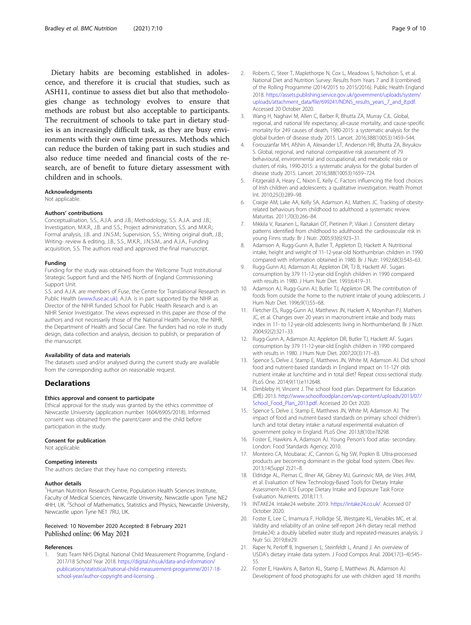<span id="page-8-0"></span>Dietary habits are becoming established in adolescence, and therefore it is crucial that studies, such as ASH11, continue to assess diet but also that methodologies change as technology evolves to ensure that methods are robust but also acceptable to participants. The recruitment of schools to take part in dietary studies is an increasingly difficult task, as they are busy environments with their own time pressures. Methods which can reduce the burden of taking part in such studies and also reduce time needed and financial costs of the research, are of benefit to future dietary assessment with children and in schools.

#### Acknowledgments

Not applicable.

#### Authors' contributions

Conceptualisation, S.S., A.J.A. and J.B.; Methodology, S.S. A.J.A. and J.B.; Investigation, M.K.R., J.B. and S.S.; Project administration, S.S. and M.K.R.; Formal analysis, J.B. and J.N.S.M.; Supervision, S.S.; Writing original draft, J.B.; Writing- review & editing, J.B., S.S., M.K.R., J.N.S.M., and A.J.A., Funding acquisition, S.S. The authors read and approved the final manuscript.

#### Funding

Funding for the study was obtained from the Wellcome Trust Institutional Strategic Support fund and the NHS North of England Commissioning Support Unit.

S.S. and A.J.A. are members of Fuse, the Centre for Translational Research in Public Health ([www.fuse.ac.uk\)](http://www.fuse.ac.uk). A.J.A. is in part supported by the NIHR as Director of the NIHR funded School for Public Health Research and is an NIHR Senior Investigator. The views expressed in this paper are those of the authors and not necessarily those of the National Health Service, the NIHR, the Department of Health and Social Care. The funders had no role in study design, data collection and analysis, decision to publish, or preparation of the manuscript.

#### Availability of data and materials

The datasets used and/or analysed during the current study are available from the corresponding author on reasonable request.

#### **Declarations**

#### Ethics approval and consent to participate

Ethical approval for the study was granted by the ethics committee of Newcastle University (application number 1604/6905/2018). Informed consent was obtained from the parent/carer and the child before participation in the study.

#### Consent for publication

Not applicable.

#### Competing interests

The authors declare that they have no competing interests.

#### Author details

<sup>1</sup> Human Nutrition Research Centre, Population Health Sciences Institute, Faculty of Medical Sciences, Newcastle University, Newcastle upon Tyne NE2 4HH, UK. <sup>2</sup>School of Mathematics, Statistics and Physics, Newcastle University, Newcastle upon Tyne NE1 7RU, UK.

#### Received: 10 November 2020 Accepted: 8 February 2021 Published online: 06 May 2021

#### References

1. Stats Team NHS Digital. National Child Measurement Programme, England - 2017/18 School Year 2018. [https://digital.nhs.uk/data-and-information/](https://digital.nhs.uk/data-and-information/publications/statistical/national-child-measurement-programme/2017-18-school-year/author-copyright-and-licensing) [publications/statistical/national-child-measurement-programme/2017-18](https://digital.nhs.uk/data-and-information/publications/statistical/national-child-measurement-programme/2017-18-school-year/author-copyright-and-licensing) [school-year/author-copyright-and-licensing.](https://digital.nhs.uk/data-and-information/publications/statistical/national-child-measurement-programme/2017-18-school-year/author-copyright-and-licensing) .

- Roberts C, Steer T, Maplethorpe N, Cox L, Meadows S, Nicholson S, et al. National Diet and Nutrition Survey: Results from Years 7 and 8 (combined) of the Rolling Programme (2014/2015 to 2015/2016). Public Health England 2018. [https://assets.publishing.service.gov.uk/government/uploads/system/](https://assets.publishing.service.gov.uk/government/uploads/system/uploads/attachment_data/file/699241/NDNS_results_years_7_and_8.pdf) [uploads/attachment\\_data/file/699241/NDNS\\_results\\_years\\_7\\_and\\_8.pdf.](https://assets.publishing.service.gov.uk/government/uploads/system/uploads/attachment_data/file/699241/NDNS_results_years_7_and_8.pdf) Accessed 20 October 2020.
- 3. Wang H, Naghavi M, Allen C, Barber R, Bhutta ZA, Murray CJL. Global, regional, and national life expectancy, all-cause mortality, and cause-specific mortality for 249 causes of death, 1980-2015: a systematic analysis for the global burden of disease study 2015. Lancet. 2016;388(10053):1459–544.
- 4. Forouzanfar MH, Afshin A, Alexander LT, Anderson HR, Bhutta ZA, Biryukov S. Global, regional, and national comparative risk assessment of 79 behavioural, environmental and occupational, and metabolic risks or clusters of risks, 1990-2015: a systematic analysis for the global burden of disease study 2015. Lancet. 2016;388(10053):1659–724.
- 5. Fitzgerald A, Heary C, Nixon E, Kelly C. Factors influencing the food choices of Irish children and adolescents: a qualitative investigation. Health Promot Int. 2010;25(3):289–98.
- 6. Craigie AM, Lake AA, Kelly SA, Adamson AJ, Mathers JC. Tracking of obesityrelated behaviours from childhood to adulthood: a systematic review. Maturitas. 2011;70(3):266–84.
- 7. Mikkila V, Rasanen L, Raitakari OT, Pietinen P, Viikari J. Consistent dietary patterns identified from childhood to adulthood: the cardiovascular risk in young Finns study. Br J Nutr. 2005;93(6):923–31.
- Adamson A, Rugg-Gunn A, Butler T, Appleton D, Hackett A. Nutritional intake, height and weight of 11-12-year-old Northumbrian children in 1990 compared with information obtained in 1980. Br J Nutr. 1992;68(3):543–63.
- 9. Rugg-Gunn AJ, Adamson AJ, Appleton DR, TJ B, Hackett AF. Sugars consumption by 379 11-12-year-old English children in 1990 compared with results in 1980. J Hum Nutr Diet. 1993;6:419–31.
- 10. Adamson AJ, Rugg-Gunn AJ, Butler TJ, Appleton DR. The contribution of foods from outside the home to the nutrient intake of young adolescents. J Hum Nutr Diet. 1996;9(1):55–68.
- 11. Fletcher ES, Rugg-Gunn AJ, Matthews JN, Hackett A, Moynihan PJ, Mathers JC, et al. Changes over 20 years in macronutrient intake and body mass index in 11- to 12-year-old adolescents living in Northumberland. Br J Nutr. 2004;92(2):321–33.
- 12. Rugg-Gunn A, Adamson AJ, Appleton DR, Butler TJ, Hackett AF. Sugars consumption by 379 11-12-year-old English children in 1990 compared with results in 1980. J Hum Nutr Diet. 2007;20(3):171–83.
- 13. Spence S, Delve J, Stamp E, Matthews JN, White M, Adamson AJ. Did school food and nutrient-based standards in England impact on 11-12Y olds nutrient intake at lunchtime and in total diet? Repeat cross-sectional study. PLoS One. 2014;9(11):e112648.
- 14. Dimbleby H, Vincent J. The school food plan. Department for Education (DfE) 2013. [http://www.schoolfoodplan.com/wp-content/uploads/2013/07/](http://www.schoolfoodplan.com/wp-content/uploads/2013/07/School_Food_Plan_2013.pdf) [School\\_Food\\_Plan\\_2013.pdf.](http://www.schoolfoodplan.com/wp-content/uploads/2013/07/School_Food_Plan_2013.pdf) Accessed 20 Oct 2020.
- 15. Spence S, Delve J, Stamp E, Matthews JN, White M, Adamson AJ. The impact of food and nutrient-based standards on primary school children's lunch and total dietary intake: a natural experimental evaluation of government policy in England. PLoS One. 2013;8(10):e78298.
- 16. Foster E, Hawkins A, Adamson AJ. Young Person's food atlas- secondary. London: Food Standards Agency; 2010.
- 17. Monteiro CA, Moubarac JC, Cannon G, Ng SW, Popkin B. Ultra-processed products are becoming dominant in the global food system. Obes Rev. 2013;14(Suppl 2):21–8.
- 18. Eldridge AL, Piernas C, Illner AK, Gibney MJ, Gurinovic MA, de Vries JHM, et al. Evaluation of New Technology-Based Tools for Dietary Intake Assessment-An ILSI Europe Dietary Intake and Exposure Task Force Evaluation. Nutrients. 2018;11:1.
- 19. INTAKE24. Intake24 website. 2019. <https://intake24.co.uk/>. Accessed 07 October 2020.
- 20. Foster E, Lee C, Imamura F, Hollidge SE, Westgate KL, Venables MC, et al. Validity and reliability of an online self-report 24-h dietary recall method (Intake24): a doubly labelled water study and repeated-measures analysis. J Nutr Sci. 2019;8:e29.
- 21. Raper N, Perloff B, Ingwersen L, Steinfeldt L, Anand J. An overview of USDA's dietary intake data system. J Food Compos Anal. 2004;17(3–4):545– 55.
- 22. Foster E, Hawkins A, Barton KL, Stamp E, Matthews JN, Adamson AJ. Development of food photographs for use with children aged 18 months